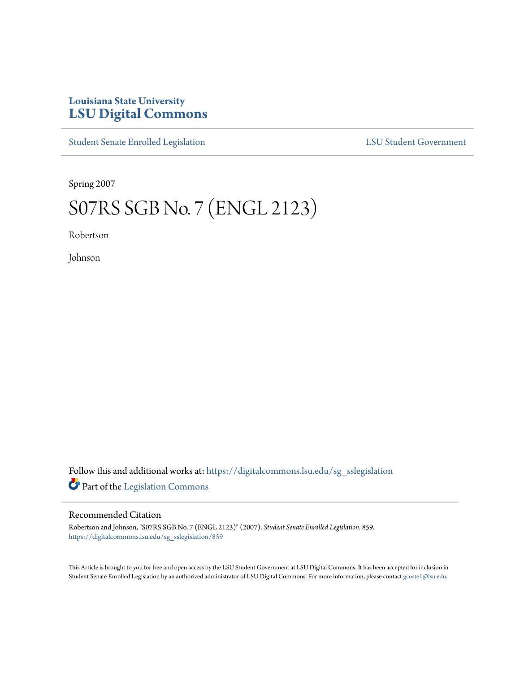## **Louisiana State University [LSU Digital Commons](https://digitalcommons.lsu.edu?utm_source=digitalcommons.lsu.edu%2Fsg_sslegislation%2F859&utm_medium=PDF&utm_campaign=PDFCoverPages)**

[Student Senate Enrolled Legislation](https://digitalcommons.lsu.edu/sg_sslegislation?utm_source=digitalcommons.lsu.edu%2Fsg_sslegislation%2F859&utm_medium=PDF&utm_campaign=PDFCoverPages) [LSU Student Government](https://digitalcommons.lsu.edu/sg?utm_source=digitalcommons.lsu.edu%2Fsg_sslegislation%2F859&utm_medium=PDF&utm_campaign=PDFCoverPages)

Spring 2007

## S07RS SGB No. 7 (ENGL 2123)

Robertson

Johnson

Follow this and additional works at: [https://digitalcommons.lsu.edu/sg\\_sslegislation](https://digitalcommons.lsu.edu/sg_sslegislation?utm_source=digitalcommons.lsu.edu%2Fsg_sslegislation%2F859&utm_medium=PDF&utm_campaign=PDFCoverPages) Part of the [Legislation Commons](http://network.bepress.com/hgg/discipline/859?utm_source=digitalcommons.lsu.edu%2Fsg_sslegislation%2F859&utm_medium=PDF&utm_campaign=PDFCoverPages)

## Recommended Citation

Robertson and Johnson, "S07RS SGB No. 7 (ENGL 2123)" (2007). *Student Senate Enrolled Legislation*. 859. [https://digitalcommons.lsu.edu/sg\\_sslegislation/859](https://digitalcommons.lsu.edu/sg_sslegislation/859?utm_source=digitalcommons.lsu.edu%2Fsg_sslegislation%2F859&utm_medium=PDF&utm_campaign=PDFCoverPages)

This Article is brought to you for free and open access by the LSU Student Government at LSU Digital Commons. It has been accepted for inclusion in Student Senate Enrolled Legislation by an authorized administrator of LSU Digital Commons. For more information, please contact [gcoste1@lsu.edu.](mailto:gcoste1@lsu.edu)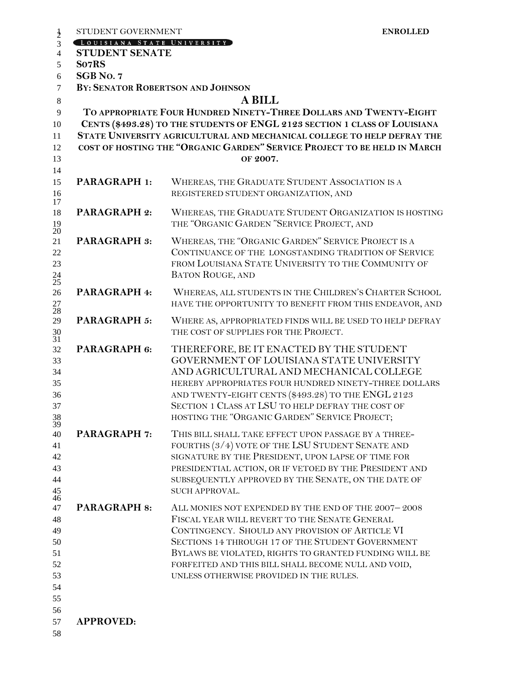| STUDENT GOVERNMENT                                  | <b>ENROLLED</b>                                                                                                                                                                                                                                                                                                                                                        |
|-----------------------------------------------------|------------------------------------------------------------------------------------------------------------------------------------------------------------------------------------------------------------------------------------------------------------------------------------------------------------------------------------------------------------------------|
| LOUISIANA STATE UNIVERSITY<br><b>STUDENT SENATE</b> |                                                                                                                                                                                                                                                                                                                                                                        |
| So7RS                                               |                                                                                                                                                                                                                                                                                                                                                                        |
| SGB No. 7                                           |                                                                                                                                                                                                                                                                                                                                                                        |
|                                                     | BY: SENATOR ROBERTSON AND JOHNSON                                                                                                                                                                                                                                                                                                                                      |
|                                                     | <b>A BILL</b>                                                                                                                                                                                                                                                                                                                                                          |
|                                                     | TO APPROPRIATE FOUR HUNDRED NINETY-THREE DOLLARS AND TWENTY-EIGHT                                                                                                                                                                                                                                                                                                      |
|                                                     | CENTS (\$493.28) TO THE STUDENTS OF ENGL 2123 SECTION 1 CLASS OF LOUISIANA<br>STATE UNIVERSITY AGRICULTURAL AND MECHANICAL COLLEGE TO HELP DEFRAY THE<br>COST OF HOSTING THE "ORGANIC GARDEN" SERVICE PROJECT TO BE HELD IN MARCH                                                                                                                                      |
|                                                     | OF 2007.                                                                                                                                                                                                                                                                                                                                                               |
|                                                     |                                                                                                                                                                                                                                                                                                                                                                        |
| <b>PARAGRAPH 1:</b>                                 | WHEREAS, THE GRADUATE STUDENT ASSOCIATION IS A<br>REGISTERED STUDENT ORGANIZATION, AND                                                                                                                                                                                                                                                                                 |
| <b>PARAGRAPH 2:</b>                                 | WHEREAS, THE GRADUATE STUDENT ORGANIZATION IS HOSTING<br>THE "ORGANIC GARDEN "SERVICE PROJECT, AND                                                                                                                                                                                                                                                                     |
| <b>PARAGRAPH 3:</b>                                 | WHEREAS, THE "ORGANIC GARDEN" SERVICE PROJECT IS A<br>CONTINUANCE OF THE LONGSTANDING TRADITION OF SERVICE<br>FROM LOUISIANA STATE UNIVERSITY TO THE COMMUNITY OF<br><b>BATON ROUGE, AND</b>                                                                                                                                                                           |
| PARAGRAPH 4:                                        | WHEREAS, ALL STUDENTS IN THE CHILDREN'S CHARTER SCHOOL<br>HAVE THE OPPORTUNITY TO BENEFIT FROM THIS ENDEAVOR, AND                                                                                                                                                                                                                                                      |
| PARAGRAPH 5:                                        | WHERE AS, APPROPRIATED FINDS WILL BE USED TO HELP DEFRAY<br>THE COST OF SUPPLIES FOR THE PROJECT.                                                                                                                                                                                                                                                                      |
| PARAGRAPH 6:                                        | THEREFORE, BE IT ENACTED BY THE STUDENT<br>GOVERNMENT OF LOUISIANA STATE UNIVERSITY<br>AND AGRICULTURAL AND MECHANICAL COLLEGE<br>HEREBY APPROPRIATES FOUR HUNDRED NINETY-THREE DOLLARS<br>AND TWENTY-EIGHT CENTS (\$493.28) TO THE ENGL 2123<br>SECTION 1 CLASS AT LSU TO HELP DEFRAY THE COST OF<br>HOSTING THE "ORGANIC GARDEN" SERVICE PROJECT;                    |
| <b>PARAGRAPH 7:</b>                                 | THIS BILL SHALL TAKE EFFECT UPON PASSAGE BY A THREE-<br>FOURTHS (3/4) VOTE OF THE LSU STUDENT SENATE AND<br>SIGNATURE BY THE PRESIDENT, UPON LAPSE OF TIME FOR<br>PRESIDENTIAL ACTION, OR IF VETOED BY THE PRESIDENT AND<br>SUBSEQUENTLY APPROVED BY THE SENATE, ON THE DATE OF<br>SUCH APPROVAL.                                                                      |
| <b>PARAGRAPH 8:</b>                                 | ALL MONIES NOT EXPENDED BY THE END OF THE 2007-2008<br>FISCAL YEAR WILL REVERT TO THE SENATE GENERAL<br>CONTINGENCY. SHOULD ANY PROVISION OF ARTICLE VI<br>SECTIONS 14 THROUGH 17 OF THE STUDENT GOVERNMENT<br>BYLAWS BE VIOLATED, RIGHTS TO GRANTED FUNDING WILL BE<br>FORFEITED AND THIS BILL SHALL BECOME NULL AND VOID,<br>UNLESS OTHERWISE PROVIDED IN THE RULES. |
| <b>APPROVED:</b>                                    |                                                                                                                                                                                                                                                                                                                                                                        |